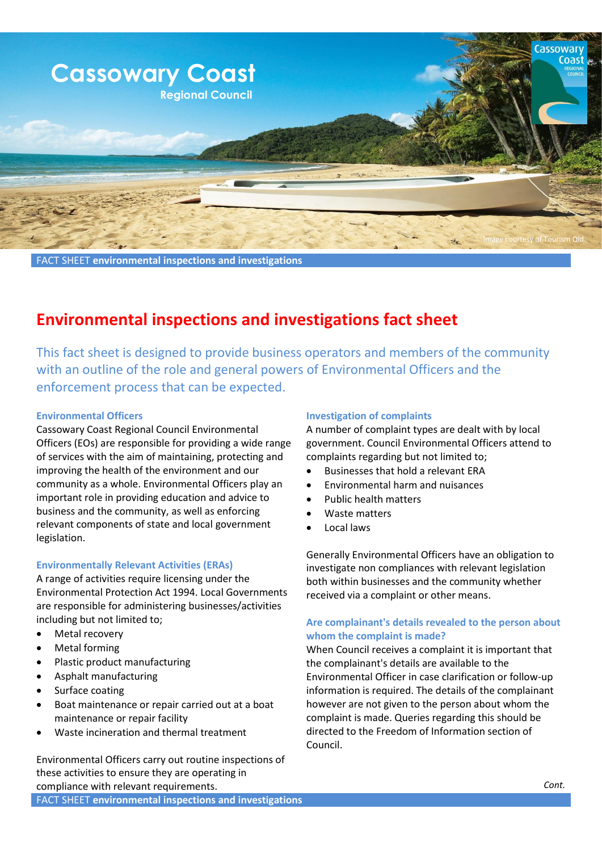

FACT SHEET **environmental inspections and investigations**

# **Environmental inspections and investigations fact sheet**

This fact sheet is designed to provide business operators and members of the community with an outline of the role and general powers of Environmental Officers and the enforcement process that can be expected.

### **Environmental Officers**

Cassowary Coast Regional Council Environmental Officers (EOs) are responsible for providing a wide range of services with the aim of maintaining, protecting and improving the health of the environment and our community as a whole. Environmental Officers play an important role in providing education and advice to business and the community, as well as enforcing relevant components of state and local government legislation.

## **Environmentally Relevant Activities (ERAs)**

A range of activities require licensing under the Environmental Protection Act 1994. Local Governments are responsible for administering businesses/activities including but not limited to;

- Metal recovery
- Metal forming
- Plastic product manufacturing
- Asphalt manufacturing
- Surface coating
- Boat maintenance or repair carried out at a boat maintenance or repair facility
- Waste incineration and thermal treatment

Environmental Officers carry out routine inspections of these activities to ensure they are operating in compliance with relevant requirements.

### **Investigation of complaints**

A number of complaint types are dealt with by local government. Council Environmental Officers attend to complaints regarding but not limited to;

- Businesses that hold a relevant ERA
- Environmental harm and nuisances
- Public health matters
- Waste matters
- Local laws

Generally Environmental Officers have an obligation to investigate non compliances with relevant legislation both within businesses and the community whether received via a complaint or other means.

## **Are complainant's details revealed to the person about whom the complaint is made?**

When Council receives a complaint it is important that the complainant's details are available to the Environmental Officer in case clarification or follow-up information is required. The details of the complainant however are not given to the person about whom the complaint is made. Queries regarding this should be directed to the Freedom of Information section of Council.